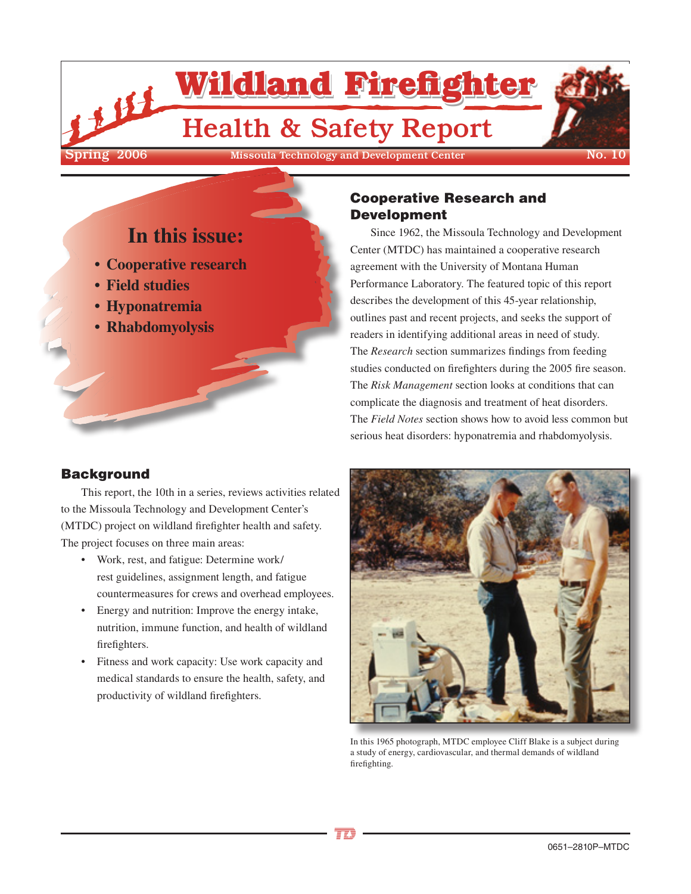

Cooperative Research and

Since 1962, the Missoula Technology and Development

Center (MTDC) has maintained a cooperative research agreement with the University of Montana Human

Performance Laboratory. The featured topic of this report describes the development of this 45-year relationship, outlines past and recent projects, and seeks the support of readers in identifying additional areas in need of study. The *Research* section summarizes findings from feeding studies conducted on firefighters during the 2005 fire season. The *Risk Management* section looks at conditions that can complicate the diagnosis and treatment of heat disorders. The *Field Notes* section shows how to avoid less common but serious heat disorders: hyponatremia and rhabdomyolysis.

Development

# **In this issue:**

- **• Cooperative research**
- **• Field studies**
- **• Hyponatremia**
- **• Rhabdomyolysis**

# **Background**

This report, the 10th in a series, reviews activities related to the Missoula Technology and Development Center's (MTDC) project on wildland firefighter health and safety. The project focuses on three main areas:

- Work, rest, and fatigue: Determine work/ rest guidelines, assignment length, and fatigue countermeasures for crews and overhead employees.
- Energy and nutrition: Improve the energy intake, nutrition, immune function, and health of wildland firefighters.
- Fitness and work capacity: Use work capacity and medical standards to ensure the health, safety, and productivity of wildland firefighters.



In this 1965 photograph, MTDC employee Cliff Blake is a subject during a study of energy, cardiovascular, and thermal demands of wildland firefighting.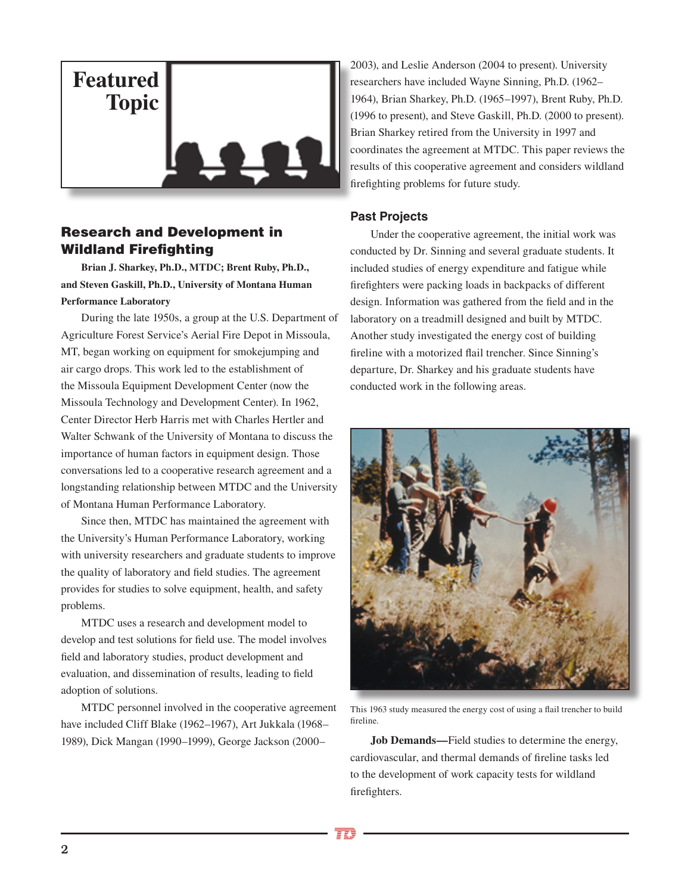

# Research and Development in Wildland Firefighting

**Brian J. Sharkey, Ph.D., MTDC; Brent Ruby, Ph.D., and Steven Gaskill, Ph.D., University of Montana Human Performance Laboratory**

During the late 1950s, a group at the U.S. Department of Agriculture Forest Service's Aerial Fire Depot in Missoula, MT, began working on equipment for smokejumping and air cargo drops. This work led to the establishment of the Missoula Equipment Development Center (now the Missoula Technology and Development Center). In 1962, Center Director Herb Harris met with Charles Hertler and Walter Schwank of the University of Montana to discuss the importance of human factors in equipment design. Those conversations led to a cooperative research agreement and a longstanding relationship between MTDC and the University of Montana Human Performance Laboratory.

Since then, MTDC has maintained the agreement with the University's Human Performance Laboratory, working with university researchers and graduate students to improve the quality of laboratory and field studies. The agreement provides for studies to solve equipment, health, and safety problems.

MTDC uses a research and development model to develop and test solutions for field use. The model involves field and laboratory studies, product development and evaluation, and dissemination of results, leading to field adoption of solutions.

MTDC personnel involved in the cooperative agreement have included Cliff Blake (1962–1967), Art Jukkala (1968– 1989), Dick Mangan (1990–1999), George Jackson (2000–

2003), and Leslie Anderson (2004 to present). University researchers have included Wayne Sinning, Ph.D. (1962– 1964), Brian Sharkey, Ph.D. (1965–1997), Brent Ruby, Ph.D. (1996 to present), and Steve Gaskill, Ph.D. (2000 to present). Brian Sharkey retired from the University in 1997 and coordinates the agreement at MTDC. This paper reviews the results of this cooperative agreement and considers wildland firefighting problems for future study.

## **Past Projects**

Under the cooperative agreement, the initial work was conducted by Dr. Sinning and several graduate students. It included studies of energy expenditure and fatigue while firefighters were packing loads in backpacks of different design. Information was gathered from the field and in the laboratory on a treadmill designed and built by MTDC. Another study investigated the energy cost of building fireline with a motorized flail trencher. Since Sinning's departure, Dr. Sharkey and his graduate students have conducted work in the following areas.



This 1963 study measured the energy cost of using a flail trencher to build fireline.

**Job Demands—**Field studies to determine the energy, cardiovascular, and thermal demands of fireline tasks led to the development of work capacity tests for wildland firefighters.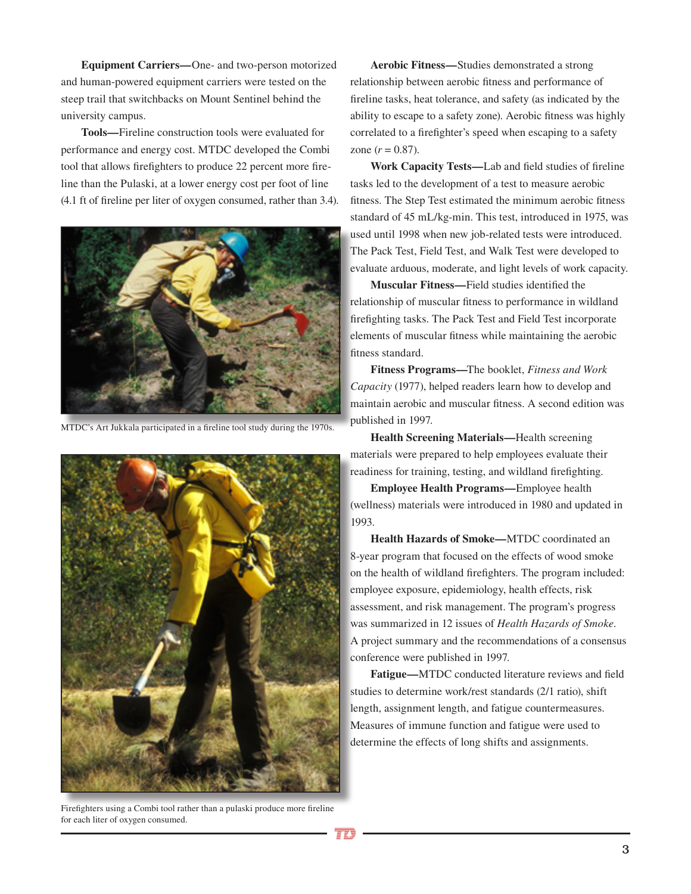**Equipment Carriers—**One- and two-person motorized and human-powered equipment carriers were tested on the steep trail that switchbacks on Mount Sentinel behind the university campus.

**Tools—**Fireline construction tools were evaluated for performance and energy cost. MTDC developed the Combi tool that allows firefighters to produce 22 percent more fireline than the Pulaski, at a lower energy cost per foot of line (4.1 ft of fireline per liter of oxygen consumed, rather than 3.4).



MTDC's Art Jukkala participated in a fireline tool study during the 1970s.



Firefighters using a Combi tool rather than a pulaski produce more fireline for each liter of oxygen consumed.

**Aerobic Fitness—**Studies demonstrated a strong relationship between aerobic fitness and performance of fireline tasks, heat tolerance, and safety (as indicated by the ability to escape to a safety zone). Aerobic fitness was highly correlated to a firefighter's speed when escaping to a safety zone  $(r = 0.87)$ .

**Work Capacity Tests—**Lab and field studies of fireline tasks led to the development of a test to measure aerobic fitness. The Step Test estimated the minimum aerobic fitness standard of 45 mL/kg-min. This test, introduced in 1975, was used until 1998 when new job-related tests were introduced. The Pack Test, Field Test, and Walk Test were developed to evaluate arduous, moderate, and light levels of work capacity.

**Muscular Fitness—**Field studies identified the relationship of muscular fitness to performance in wildland firefighting tasks. The Pack Test and Field Test incorporate elements of muscular fitness while maintaining the aerobic fitness standard.

**Fitness Programs—**The booklet, *Fitness and Work Capacity* (1977), helped readers learn how to develop and maintain aerobic and muscular fitness. A second edition was published in 1997.

**Health Screening Materials—**Health screening materials were prepared to help employees evaluate their readiness for training, testing, and wildland firefighting.

**Employee Health Programs—**Employee health (wellness) materials were introduced in 1980 and updated in 1993.

**Health Hazards of Smoke—**MTDC coordinated an 8-year program that focused on the effects of wood smoke on the health of wildland firefighters. The program included: employee exposure, epidemiology, health effects, risk assessment, and risk management. The program's progress was summarized in 12 issues of *Health Hazards of Smoke*. A project summary and the recommendations of a consensus conference were published in 1997.

**Fatigue—**MTDC conducted literature reviews and field studies to determine work/rest standards (2/1 ratio), shift length, assignment length, and fatigue countermeasures. Measures of immune function and fatigue were used to determine the effects of long shifts and assignments.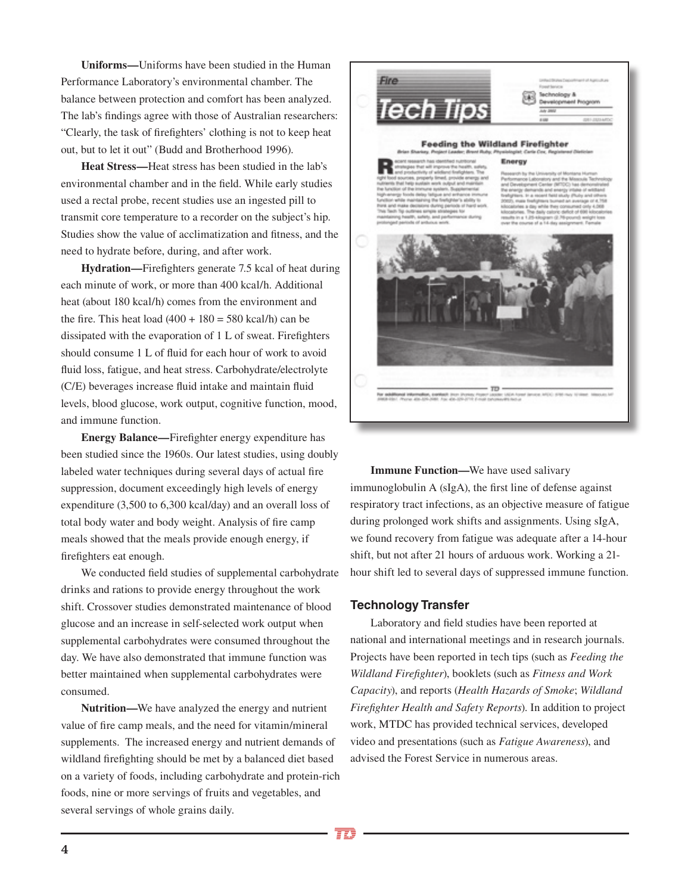**Uniforms—**Uniforms have been studied in the Human Performance Laboratory's environmental chamber. The balance between protection and comfort has been analyzed. The lab's findings agree with those of Australian researchers: "Clearly, the task of firefighters' clothing is not to keep heat out, but to let it out" (Budd and Brotherhood 1996).

**Heat Stress—**Heat stress has been studied in the lab's environmental chamber and in the field. While early studies used a rectal probe, recent studies use an ingested pill to transmit core temperature to a recorder on the subject's hip. Studies show the value of acclimatization and fitness, and the need to hydrate before, during, and after work.

**Hydration—**Firefighters generate 7.5 kcal of heat during each minute of work, or more than 400 kcal/h. Additional heat (about 180 kcal/h) comes from the environment and the fire. This heat load  $(400 + 180 = 580 \text{ kcal/h})$  can be dissipated with the evaporation of 1 L of sweat. Firefighters should consume 1 L of fluid for each hour of work to avoid fluid loss, fatigue, and heat stress. Carbohydrate/electrolyte (C/E) beverages increase fluid intake and maintain fluid levels, blood glucose, work output, cognitive function, mood, and immune function.

**Energy Balance—**Firefighter energy expenditure has been studied since the 1960s. Our latest studies, using doubly labeled water techniques during several days of actual fire suppression, document exceedingly high levels of energy expenditure (3,500 to 6,300 kcal/day) and an overall loss of total body water and body weight. Analysis of fire camp meals showed that the meals provide enough energy, if firefighters eat enough.

We conducted field studies of supplemental carbohydrate drinks and rations to provide energy throughout the work shift. Crossover studies demonstrated maintenance of blood glucose and an increase in self-selected work output when supplemental carbohydrates were consumed throughout the day. We have also demonstrated that immune function was better maintained when supplemental carbohydrates were consumed.

**Nutrition—**We have analyzed the energy and nutrient value of fire camp meals, and the need for vitamin/mineral supplements. The increased energy and nutrient demands of wildland firefighting should be met by a balanced diet based on a variety of foods, including carbohydrate and protein-rich foods, nine or more servings of fruits and vegetables, and several servings of whole grains daily.



**Immune Function—**We have used salivary immunoglobulin A (sIgA), the first line of defense against respiratory tract infections, as an objective measure of fatigue during prolonged work shifts and assignments. Using sIgA, we found recovery from fatigue was adequate after a 14-hour shift, but not after 21 hours of arduous work. Working a 21 hour shift led to several days of suppressed immune function.

### **Technology Transfer**

Laboratory and field studies have been reported at national and international meetings and in research journals. Projects have been reported in tech tips (such as *Feeding the Wildland Firefighter*), booklets (such as *Fitness and Work Capacity*), and reports (*Health Hazards of Smoke*; *Wildland Firefighter Health and Safety Reports*). In addition to project work, MTDC has provided technical services, developed video and presentations (such as *Fatigue Awareness*), and advised the Forest Service in numerous areas.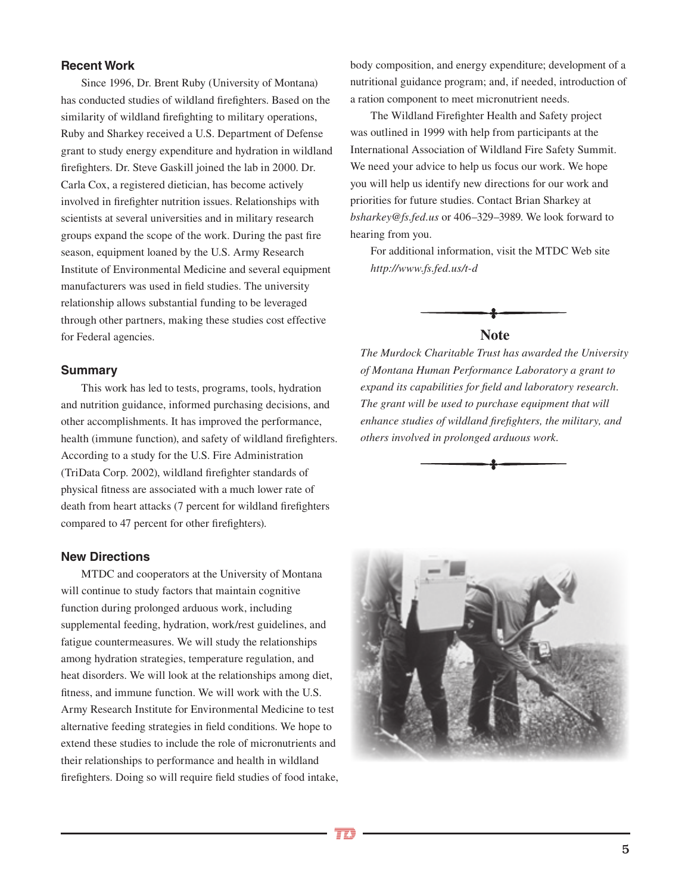## **Recent Work**

Since 1996, Dr. Brent Ruby (University of Montana) has conducted studies of wildland firefighters. Based on the similarity of wildland firefighting to military operations, Ruby and Sharkey received a U.S. Department of Defense grant to study energy expenditure and hydration in wildland firefighters. Dr. Steve Gaskill joined the lab in 2000. Dr. Carla Cox, a registered dietician, has become actively involved in firefighter nutrition issues. Relationships with scientists at several universities and in military research groups expand the scope of the work. During the past fire season, equipment loaned by the U.S. Army Research Institute of Environmental Medicine and several equipment manufacturers was used in field studies. The university relationship allows substantial funding to be leveraged through other partners, making these studies cost effective for Federal agencies.

### **Summary**

This work has led to tests, programs, tools, hydration and nutrition guidance, informed purchasing decisions, and other accomplishments. It has improved the performance, health (immune function), and safety of wildland firefighters. According to a study for the U.S. Fire Administration (TriData Corp. 2002), wildland firefighter standards of physical fitness are associated with a much lower rate of death from heart attacks (7 percent for wildland firefighters compared to 47 percent for other firefighters).

### **New Directions**

MTDC and cooperators at the University of Montana will continue to study factors that maintain cognitive function during prolonged arduous work, including supplemental feeding, hydration, work/rest guidelines, and fatigue countermeasures. We will study the relationships among hydration strategies, temperature regulation, and heat disorders. We will look at the relationships among diet, fitness, and immune function. We will work with the U.S. Army Research Institute for Environmental Medicine to test alternative feeding strategies in field conditions. We hope to extend these studies to include the role of micronutrients and their relationships to performance and health in wildland firefighters. Doing so will require field studies of food intake, body composition, and energy expenditure; development of a nutritional guidance program; and, if needed, introduction of a ration component to meet micronutrient needs.

The Wildland Firefighter Health and Safety project was outlined in 1999 with help from participants at the International Association of Wildland Fire Safety Summit. We need your advice to help us focus our work. We hope you will help us identify new directions for our work and priorities for future studies. Contact Brian Sharkey at *bsharkey@fs.fed.us* or 406–329–3989. We look forward to hearing from you.

For additional information, visit the MTDC Web site *http://www.fs.fed.us/t-d*



*The Murdock Charitable Trust has awarded the University of Montana Human Performance Laboratory a grant to expand its capabilities for field and laboratory research. The grant will be used to purchase equipment that will enhance studies of wildland firefighters, the military, and others involved in prolonged arduous work.*



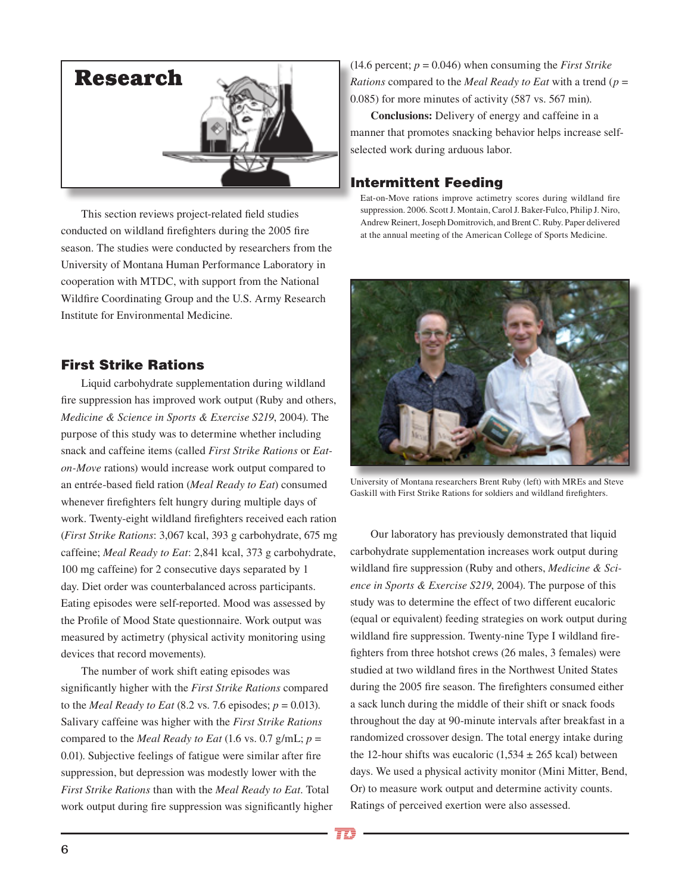

This section reviews project-related field studies conducted on wildland firefighters during the 2005 fire season. The studies were conducted by researchers from the University of Montana Human Performance Laboratory in cooperation with MTDC, with support from the National Wildfire Coordinating Group and the U.S. Army Research Institute for Environmental Medicine.

# First Strike Rations

Liquid carbohydrate supplementation during wildland fire suppression has improved work output (Ruby and others, *Medicine & Science in Sports & Exercise S219*, 2004). The purpose of this study was to determine whether including snack and caffeine items (called *First Strike Rations* or *Eaton-Move* rations) would increase work output compared to an entrée-based field ration (*Meal Ready to Eat*) consumed whenever firefighters felt hungry during multiple days of work. Twenty-eight wildland firefighters received each ration (*First Strike Rations*: 3,067 kcal, 393 g carbohydrate, 675 mg caffeine; *Meal Ready to Eat*: 2,841 kcal, 373 g carbohydrate, 100 mg caffeine) for 2 consecutive days separated by 1 day. Diet order was counterbalanced across participants. Eating episodes were self-reported. Mood was assessed by the Profile of Mood State questionnaire. Work output was measured by actimetry (physical activity monitoring using devices that record movements).

The number of work shift eating episodes was significantly higher with the *First Strike Rations* compared to the *Meal Ready to Eat* (8.2 vs. 7.6 episodes;  $p = 0.013$ ). Salivary caffeine was higher with the *First Strike Rations* compared to the *Meal Ready to Eat* (1.6 vs. 0.7 g/mL; *p* = 0.01). Subjective feelings of fatigue were similar after fire suppression, but depression was modestly lower with the *First Strike Rations* than with the *Meal Ready to Eat*. Total work output during fire suppression was significantly higher  $(14.6 \text{ percent}; p = 0.046)$  when consuming the *First Strike Rations* compared to the *Meal Ready to Eat* with a trend (*p* = 0.085) for more minutes of activity (587 vs. 567 min).

**Conclusions:** Delivery of energy and caffeine in a manner that promotes snacking behavior helps increase selfselected work during arduous labor.

## Intermittent Feeding

Eat-on-Move rations improve actimetry scores during wildland fire suppression. 2006. Scott J. Montain, Carol J. Baker-Fulco, Philip J. Niro, Andrew Reinert, Joseph Domitrovich, and Brent C. Ruby. Paper delivered at the annual meeting of the American College of Sports Medicine.



University of Montana researchers Brent Ruby (left) with MREs and Steve Gaskill with First Strike Rations for soldiers and wildland firefighters.

Our laboratory has previously demonstrated that liquid carbohydrate supplementation increases work output during wildland fire suppression (Ruby and others, *Medicine & Science in Sports & Exercise S219*, 2004). The purpose of this study was to determine the effect of two different eucaloric (equal or equivalent) feeding strategies on work output during wildland fire suppression. Twenty-nine Type I wildland firefighters from three hotshot crews (26 males, 3 females) were studied at two wildland fires in the Northwest United States during the 2005 fire season. The firefighters consumed either a sack lunch during the middle of their shift or snack foods throughout the day at 90-minute intervals after breakfast in a randomized crossover design. The total energy intake during the 12-hour shifts was eucaloric  $(1,534 \pm 265 \text{ kcal})$  between days. We used a physical activity monitor (Mini Mitter, Bend, Or) to measure work output and determine activity counts. Ratings of perceived exertion were also assessed.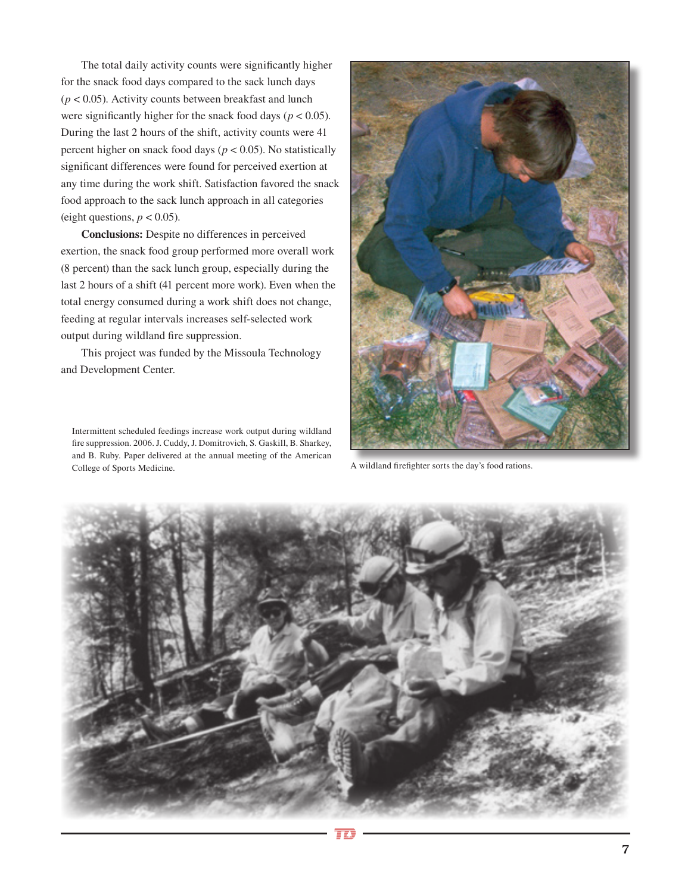The total daily activity counts were significantly higher for the snack food days compared to the sack lunch days (*p* < 0.05). Activity counts between breakfast and lunch were significantly higher for the snack food days ( $p < 0.05$ ). During the last 2 hours of the shift, activity counts were 41 percent higher on snack food days (*p* < 0.05). No statistically significant differences were found for perceived exertion at any time during the work shift. Satisfaction favored the snack food approach to the sack lunch approach in all categories (eight questions,  $p < 0.05$ ).

**Conclusions:** Despite no differences in perceived exertion, the snack food group performed more overall work (8 percent) than the sack lunch group, especially during the last 2 hours of a shift (41 percent more work). Even when the total energy consumed during a work shift does not change, feeding at regular intervals increases self-selected work output during wildland fire suppression.

This project was funded by the Missoula Technology and Development Center.

Intermittent scheduled feedings increase work output during wildland fire suppression. 2006. J. Cuddy, J. Domitrovich, S. Gaskill, B. Sharkey, and B. Ruby. Paper delivered at the annual meeting of the American College of Sports Medicine.



A wildland firefighter sorts the day's food rations.

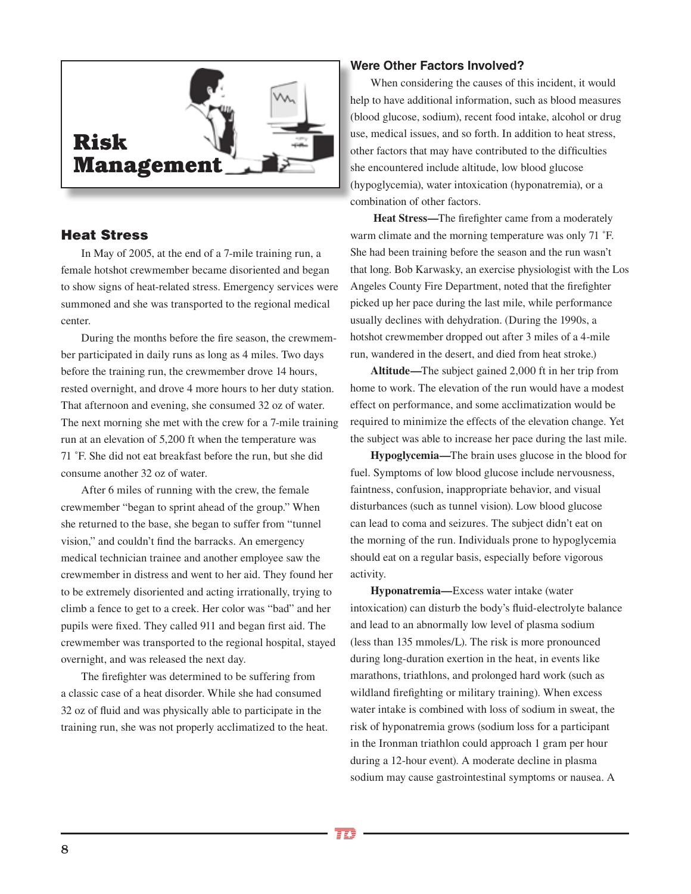

## Heat Stress

In May of 2005, at the end of a 7-mile training run, a female hotshot crewmember became disoriented and began to show signs of heat-related stress. Emergency services were summoned and she was transported to the regional medical center.

During the months before the fire season, the crewmember participated in daily runs as long as 4 miles. Two days before the training run, the crewmember drove 14 hours, rested overnight, and drove 4 more hours to her duty station. That afternoon and evening, she consumed 32 oz of water. The next morning she met with the crew for a 7-mile training run at an elevation of 5,200 ft when the temperature was 71 ˚F. She did not eat breakfast before the run, but she did consume another 32 oz of water.

After 6 miles of running with the crew, the female crewmember "began to sprint ahead of the group." When she returned to the base, she began to suffer from "tunnel vision," and couldn't find the barracks. An emergency medical technician trainee and another employee saw the crewmember in distress and went to her aid. They found her to be extremely disoriented and acting irrationally, trying to climb a fence to get to a creek. Her color was "bad" and her pupils were fixed. They called 911 and began first aid. The crewmember was transported to the regional hospital, stayed overnight, and was released the next day.

The firefighter was determined to be suffering from a classic case of a heat disorder. While she had consumed 32 oz of fluid and was physically able to participate in the training run, she was not properly acclimatized to the heat.

## **Were Other Factors Involved?**

When considering the causes of this incident, it would help to have additional information, such as blood measures (blood glucose, sodium), recent food intake, alcohol or drug use, medical issues, and so forth. In addition to heat stress, other factors that may have contributed to the difficulties she encountered include altitude, low blood glucose (hypoglycemia), water intoxication (hyponatremia), or a combination of other factors.

**Heat Stress—**The firefighter came from a moderately warm climate and the morning temperature was only 71 ˚F. She had been training before the season and the run wasn't that long. Bob Karwasky, an exercise physiologist with the Los Angeles County Fire Department, noted that the firefighter picked up her pace during the last mile, while performance usually declines with dehydration. (During the 1990s, a hotshot crewmember dropped out after 3 miles of a 4-mile run, wandered in the desert, and died from heat stroke.)

**Altitude—**The subject gained 2,000 ft in her trip from home to work. The elevation of the run would have a modest effect on performance, and some acclimatization would be required to minimize the effects of the elevation change. Yet the subject was able to increase her pace during the last mile.

**Hypoglycemia—**The brain uses glucose in the blood for fuel. Symptoms of low blood glucose include nervousness, faintness, confusion, inappropriate behavior, and visual disturbances (such as tunnel vision). Low blood glucose can lead to coma and seizures. The subject didn't eat on the morning of the run. Individuals prone to hypoglycemia should eat on a regular basis, especially before vigorous activity.

**Hyponatremia—**Excess water intake (water intoxication) can disturb the body's fluid-electrolyte balance and lead to an abnormally low level of plasma sodium (less than 135 mmoles/L). The risk is more pronounced during long-duration exertion in the heat, in events like marathons, triathlons, and prolonged hard work (such as wildland firefighting or military training). When excess water intake is combined with loss of sodium in sweat, the risk of hyponatremia grows (sodium loss for a participant in the Ironman triathlon could approach 1 gram per hour during a 12-hour event). A moderate decline in plasma sodium may cause gastrointestinal symptoms or nausea. A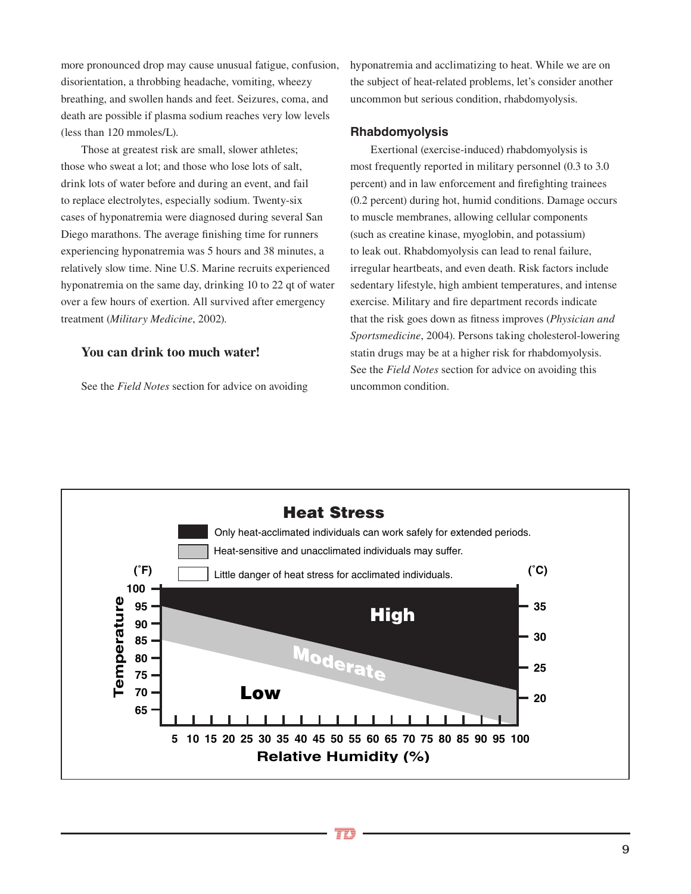more pronounced drop may cause unusual fatigue, confusion, disorientation, a throbbing headache, vomiting, wheezy breathing, and swollen hands and feet. Seizures, coma, and death are possible if plasma sodium reaches very low levels (less than 120 mmoles/L).

Those at greatest risk are small, slower athletes; those who sweat a lot; and those who lose lots of salt, drink lots of water before and during an event, and fail to replace electrolytes, especially sodium. Twenty-six cases of hyponatremia were diagnosed during several San Diego marathons. The average finishing time for runners experiencing hyponatremia was 5 hours and 38 minutes, a relatively slow time. Nine U.S. Marine recruits experienced hyponatremia on the same day, drinking 10 to 22 qt of water over a few hours of exertion. All survived after emergency treatment (*Military Medicine*, 2002).

## **You can drink too much water!**

See the *Field Notes* section for advice on avoiding

hyponatremia and acclimatizing to heat. While we are on the subject of heat-related problems, let's consider another uncommon but serious condition, rhabdomyolysis.

## **Rhabdomyolysis**

Exertional (exercise-induced) rhabdomyolysis is most frequently reported in military personnel (0.3 to 3.0 percent) and in law enforcement and firefighting trainees (0.2 percent) during hot, humid conditions. Damage occurs to muscle membranes, allowing cellular components (such as creatine kinase, myoglobin, and potassium) to leak out. Rhabdomyolysis can lead to renal failure, irregular heartbeats, and even death. Risk factors include sedentary lifestyle, high ambient temperatures, and intense exercise. Military and fire department records indicate that the risk goes down as fitness improves (*Physician and Sportsmedicine*, 2004). Persons taking cholesterol-lowering statin drugs may be at a higher risk for rhabdomyolysis. See the *Field Notes* section for advice on avoiding this uncommon condition.

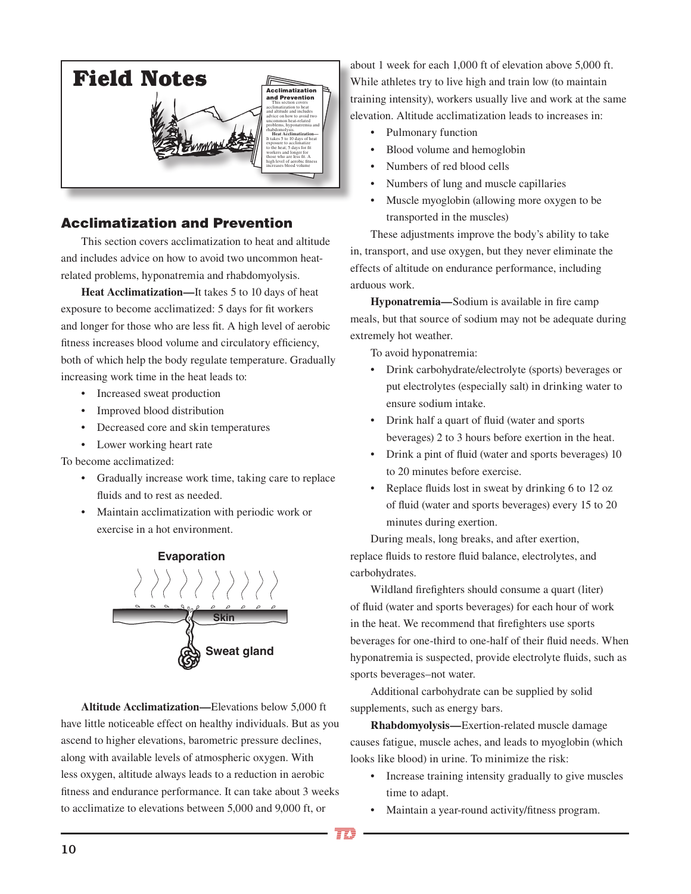

# Acclimatization and Prevention

This section covers acclimatization to heat and altitude and includes advice on how to avoid two uncommon heatrelated problems, hyponatremia and rhabdomyolysis.

**Heat Acclimatization—**It takes 5 to 10 days of heat exposure to become acclimatized: 5 days for fit workers and longer for those who are less fit. A high level of aerobic fitness increases blood volume and circulatory efficiency, both of which help the body regulate temperature. Gradually increasing work time in the heat leads to:

- Increased sweat production
- Improved blood distribution
- Decreased core and skin temperatures
- Lower working heart rate

To become acclimatized:

- Gradually increase work time, taking care to replace fluids and to rest as needed.
- Maintain acclimatization with periodic work or exercise in a hot environment.

**Evaporation**



**Altitude Acclimatization—**Elevations below 5,000 ft have little noticeable effect on healthy individuals. But as you ascend to higher elevations, barometric pressure declines, along with available levels of atmospheric oxygen. With less oxygen, altitude always leads to a reduction in aerobic fitness and endurance performance. It can take about 3 weeks to acclimatize to elevations between 5,000 and 9,000 ft, or

about 1 week for each 1,000 ft of elevation above 5,000 ft. While athletes try to live high and train low (to maintain training intensity), workers usually live and work at the same elevation. Altitude acclimatization leads to increases in:

- Pulmonary function
- Blood volume and hemoglobin
- Numbers of red blood cells
- Numbers of lung and muscle capillaries
- Muscle myoglobin (allowing more oxygen to be transported in the muscles)

These adjustments improve the body's ability to take in, transport, and use oxygen, but they never eliminate the effects of altitude on endurance performance, including arduous work.

**Hyponatremia—**Sodium is available in fire camp meals, but that source of sodium may not be adequate during extremely hot weather.

To avoid hyponatremia:

- Drink carbohydrate/electrolyte (sports) beverages or put electrolytes (especially salt) in drinking water to ensure sodium intake.
- Drink half a quart of fluid (water and sports beverages) 2 to 3 hours before exertion in the heat.
- Drink a pint of fluid (water and sports beverages) 10 to 20 minutes before exercise.
- Replace fluids lost in sweat by drinking 6 to 12 oz of fluid (water and sports beverages) every 15 to 20 minutes during exertion.

During meals, long breaks, and after exertion, replace fluids to restore fluid balance, electrolytes, and carbohydrates.

Wildland firefighters should consume a quart (liter) of fluid (water and sports beverages) for each hour of work in the heat. We recommend that firefighters use sports beverages for one-third to one-half of their fluid needs. When hyponatremia is suspected, provide electrolyte fluids, such as sports beverages–not water.

Additional carbohydrate can be supplied by solid supplements, such as energy bars.

**Rhabdomyolysis—**Exertion-related muscle damage causes fatigue, muscle aches, and leads to myoglobin (which looks like blood) in urine. To minimize the risk:

- Increase training intensity gradually to give muscles time to adapt.
- Maintain a year-round activity/fitness program.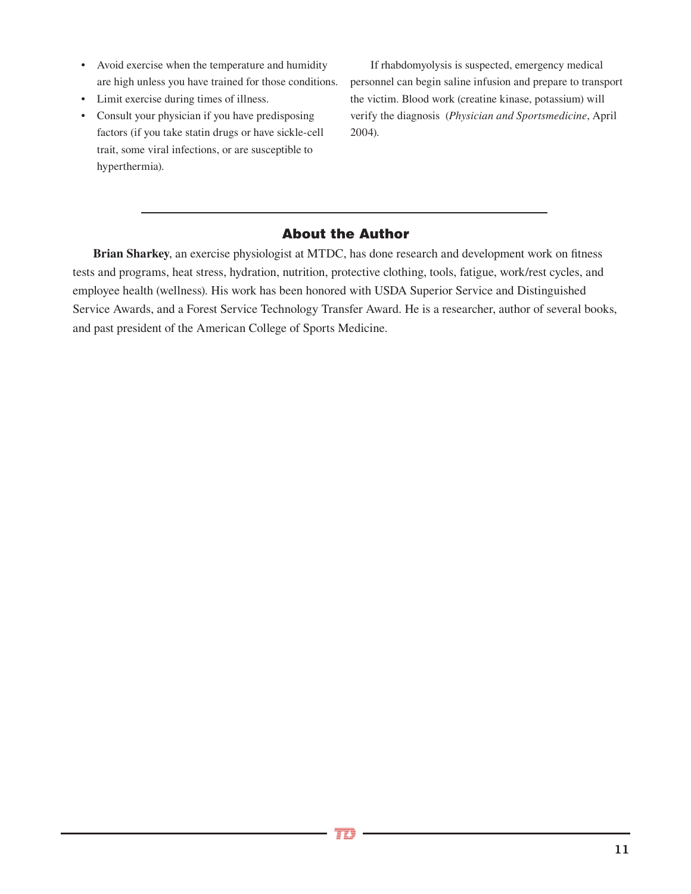- Avoid exercise when the temperature and humidity are high unless you have trained for those conditions.
- Limit exercise during times of illness.
- Consult your physician if you have predisposing factors (if you take statin drugs or have sickle-cell trait, some viral infections, or are susceptible to hyperthermia).

If rhabdomyolysis is suspected, emergency medical personnel can begin saline infusion and prepare to transport the victim. Blood work (creatine kinase, potassium) will verify the diagnosis (*Physician and Sportsmedicine*, April 2004).

# About the Author

**Brian Sharkey**, an exercise physiologist at MTDC, has done research and development work on fitness tests and programs, heat stress, hydration, nutrition, protective clothing, tools, fatigue, work/rest cycles, and employee health (wellness). His work has been honored with USDA Superior Service and Distinguished Service Awards, and a Forest Service Technology Transfer Award. He is a researcher, author of several books, and past president of the American College of Sports Medicine.